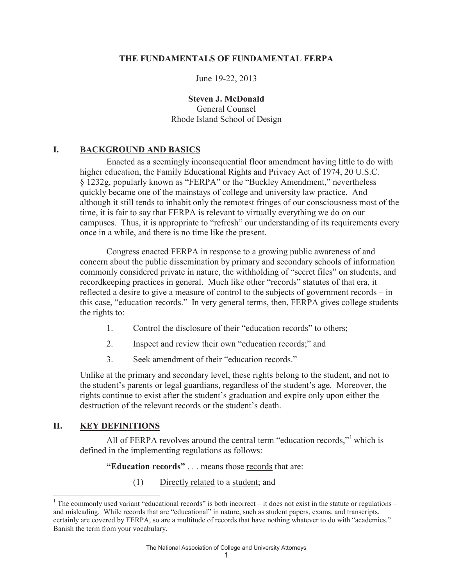## **THE FUNDAMENTALS OF FUNDAMENTAL FERPA**

June 19-22, 2013

**Steven J. McDonald** General Counsel Rhode Island School of Design

# **I. BACKGROUND AND BASICS**

Enacted as a seemingly inconsequential floor amendment having little to do with higher education, the Family Educational Rights and Privacy Act of 1974, 20 U.S.C. § 1232g, popularly known as "FERPA" or the "Buckley Amendment," nevertheless quickly became one of the mainstays of college and university law practice. And although it still tends to inhabit only the remotest fringes of our consciousness most of the time, it is fair to say that FERPA is relevant to virtually everything we do on our campuses. Thus, it is appropriate to "refresh" our understanding of its requirements every once in a while, and there is no time like the present.

Congress enacted FERPA in response to a growing public awareness of and concern about the public dissemination by primary and secondary schools of information commonly considered private in nature, the withholding of "secret files" on students, and recordkeeping practices in general. Much like other "records" statutes of that era, it reflected a desire to give a measure of control to the subjects of government records – in this case, "education records." In very general terms, then, FERPA gives college students the rights to:

- 1. Control the disclosure of their "education records" to others;
- 2. Inspect and review their own "education records;" and
- 3. Seek amendment of their "education records."

Unlike at the primary and secondary level, these rights belong to the student, and not to the student's parents or legal guardians, regardless of the student's age. Moreover, the rights continue to exist after the student's graduation and expire only upon either the destruction of the relevant records or the student's death.

# **II. KEY DEFINITIONS**

All of FERPA revolves around the central term "education records,"<sup>1</sup> which is defined in the implementing regulations as follows:

**"Education records"** . . . means those records that are:

(1) Directly related to a student; and

<sup>&</sup>lt;sup>1</sup> The commonly used variant "educational records" is both incorrect – it does not exist in the statute or regulations – and misleading. While records that are "educational" in nature, such as student papers, exams, and transcripts, certainly are covered by FERPA, so are a multitude of records that have nothing whatever to do with "academics." Banish the term from your vocabulary.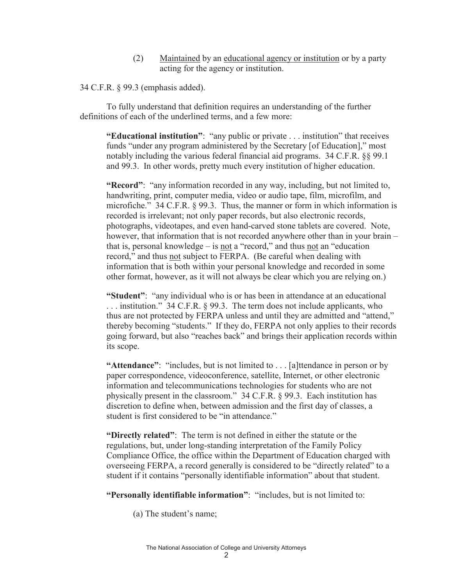(2) Maintained by an educational agency or institution or by a party acting for the agency or institution.

34 C.F.R. § 99.3 (emphasis added).

To fully understand that definition requires an understanding of the further definitions of each of the underlined terms, and a few more:

**"Educational institution"**: "any public or private . . . institution" that receives funds "under any program administered by the Secretary [of Education]," most notably including the various federal financial aid programs. 34 C.F.R. §§ 99.1 and 99.3. In other words, pretty much every institution of higher education.

**"Record"**: "any information recorded in any way, including, but not limited to, handwriting, print, computer media, video or audio tape, film, microfilm, and microfiche." 34 C.F.R. § 99.3. Thus, the manner or form in which information is recorded is irrelevant; not only paper records, but also electronic records, photographs, videotapes, and even hand-carved stone tablets are covered. Note, however, that information that is not recorded anywhere other than in your brain – that is, personal knowledge – is  $not a$  "record," and thus  $not an$  "education" record," and thus not subject to FERPA. (Be careful when dealing with information that is both within your personal knowledge and recorded in some other format, however, as it will not always be clear which you are relying on.)

**"Student"**: "any individual who is or has been in attendance at an educational . . . institution." 34 C.F.R. § 99.3. The term does not include applicants, who thus are not protected by FERPA unless and until they are admitted and "attend," thereby becoming "students." If they do, FERPA not only applies to their records going forward, but also "reaches back" and brings their application records within its scope.

**"Attendance":** "includes, but is not limited to . . . [a] thendance in person or by paper correspondence, videoconference, satellite, Internet, or other electronic information and telecommunications technologies for students who are not physically present in the classroom." 34 C.F.R. § 99.3. Each institution has discretion to define when, between admission and the first day of classes, a student is first considered to be "in attendance."

**"Directly related"**: The term is not defined in either the statute or the regulations, but, under long-standing interpretation of the Family Policy Compliance Office, the office within the Department of Education charged with overseeing FERPA, a record generally is considered to be "directly related" to a student if it contains "personally identifiable information" about that student.

**"Personally identifiable information"**: "includes, but is not limited to:

(a) The student's name;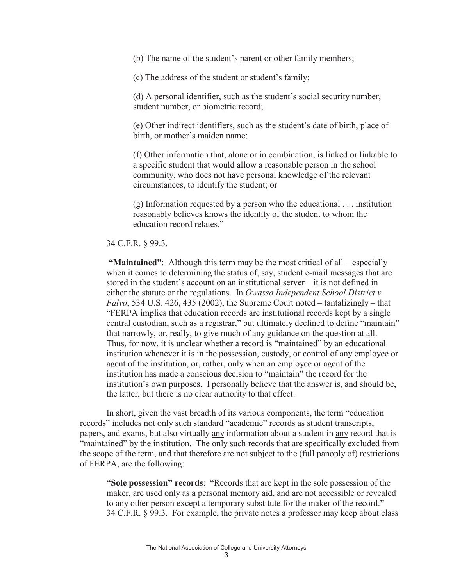(b) The name of the student's parent or other family members;

(c) The address of the student or student's family;

(d) A personal identifier, such as the student's social security number, student number, or biometric record;

(e) Other indirect identifiers, such as the student's date of birth, place of birth, or mother's maiden name;

(f) Other information that, alone or in combination, is linked or linkable to a specific student that would allow a reasonable person in the school community, who does not have personal knowledge of the relevant circumstances, to identify the student; or

(g) Information requested by a person who the educational . . . institution reasonably believes knows the identity of the student to whom the education record relates."

#### 34 C.F.R. § 99.3.

**"Maintained"**: Although this term may be the most critical of all – especially when it comes to determining the status of, say, student e-mail messages that are stored in the student's account on an institutional server – it is not defined in either the statute or the regulations. In *Owasso Independent School District v. Falvo*, 534 U.S. 426, 435 (2002), the Supreme Court noted – tantalizingly – that "FERPA implies that education records are institutional records kept by a single central custodian, such as a registrar," but ultimately declined to define "maintain" that narrowly, or, really, to give much of any guidance on the question at all. Thus, for now, it is unclear whether a record is "maintained" by an educational institution whenever it is in the possession, custody, or control of any employee or agent of the institution, or, rather, only when an employee or agent of the institution has made a conscious decision to "maintain" the record for the institution's own purposes. I personally believe that the answer is, and should be, the latter, but there is no clear authority to that effect.

In short, given the vast breadth of its various components, the term "education records" includes not only such standard "academic" records as student transcripts, papers, and exams, but also virtually any information about a student in any record that is "maintained" by the institution. The only such records that are specifically excluded from the scope of the term, and that therefore are not subject to the (full panoply of) restrictions of FERPA, are the following:

**"Sole possession" records**: "Records that are kept in the sole possession of the maker, are used only as a personal memory aid, and are not accessible or revealed to any other person except a temporary substitute for the maker of the record." 34 C.F.R. § 99.3. For example, the private notes a professor may keep about class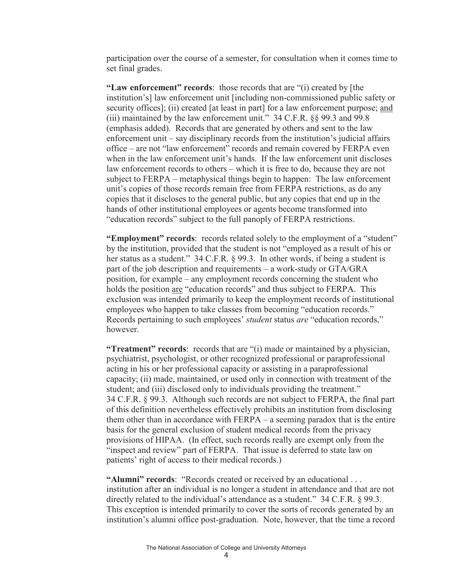participation over the course of a semester, for consultation when it comes time to set final grades.

**"Law enforcement" records**: those records that are "(i) created by [the institution's] law enforcement unit [including non-commissioned public safety or security offices]; (ii) created [at least in part] for a law enforcement purpose; and (iii) maintained by the law enforcement unit." 34 C.F.R. §§ 99.3 and 99.8 (emphasis added). Records that are generated by others and sent to the law enforcement unit – say disciplinary records from the institution's judicial affairs office – are not "law enforcement" records and remain covered by FERPA even when in the law enforcement unit's hands. If the law enforcement unit discloses law enforcement records to others – which it is free to do, because they are not subject to FERPA – metaphysical things begin to happen: The law enforcement unit's copies of those records remain free from FERPA restrictions, as do any copies that it discloses to the general public, but any copies that end up in the hands of other institutional employees or agents become transformed into "education records" subject to the full panoply of FERPA restrictions.

**"Employment" records**: records related solely to the employment of a "student" by the institution, provided that the student is not "employed as a result of his or her status as a student." 34 C.F.R. § 99.3. In other words, if being a student is part of the job description and requirements – a work-study or GTA/GRA position, for example – any employment records concerning the student who holds the position are "education records" and thus subject to FERPA. This exclusion was intended primarily to keep the employment records of institutional employees who happen to take classes from becoming "education records." Records pertaining to such employees' *student* status *are* "education records," however.

**"Treatment" records**: records that are "(i) made or maintained by a physician, psychiatrist, psychologist, or other recognized professional or paraprofessional acting in his or her professional capacity or assisting in a paraprofessional capacity; (ii) made, maintained, or used only in connection with treatment of the student; and (iii) disclosed only to individuals providing the treatment." 34 C.F.R. § 99.3. Although such records are not subject to FERPA, the final part of this definition nevertheless effectively prohibits an institution from disclosing them other than in accordance with FERPA – a seeming paradox that is the entire basis for the general exclusion of student medical records from the privacy provisions of HIPAA. (In effect, such records really are exempt only from the "inspect and review" part of FERPA. That issue is deferred to state law on patients' right of access to their medical records.)

**"Alumni" records**: "Records created or received by an educational . . . institution after an individual is no longer a student in attendance and that are not directly related to the individual's attendance as a student." 34 C.F.R. § 99.3. This exception is intended primarily to cover the sorts of records generated by an institution's alumni office post-graduation. Note, however, that the time a record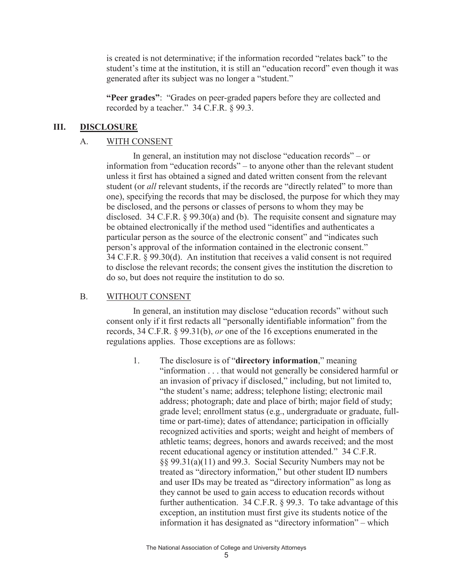is created is not determinative; if the information recorded "relates back" to the student's time at the institution, it is still an "education record" even though it was generated after its subject was no longer a "student."

**"Peer grades"**: "Grades on peer-graded papers before they are collected and recorded by a teacher." 34 C.F.R. § 99.3.

#### **III. DISCLOSURE**

#### A. WITH CONSENT

In general, an institution may not disclose "education records" – or information from "education records" – to anyone other than the relevant student unless it first has obtained a signed and dated written consent from the relevant student (or *all* relevant students, if the records are "directly related" to more than one), specifying the records that may be disclosed, the purpose for which they may be disclosed, and the persons or classes of persons to whom they may be disclosed. 34 C.F.R. § 99.30(a) and (b). The requisite consent and signature may be obtained electronically if the method used "identifies and authenticates a particular person as the source of the electronic consent" and "indicates such person's approval of the information contained in the electronic consent." 34 C.F.R. § 99.30(d). An institution that receives a valid consent is not required to disclose the relevant records; the consent gives the institution the discretion to do so, but does not require the institution to do so.

#### B. WITHOUT CONSENT

In general, an institution may disclose "education records" without such consent only if it first redacts all "personally identifiable information" from the records, 34 C.F.R. § 99.31(b), *or* one of the 16 exceptions enumerated in the regulations applies. Those exceptions are as follows:

1. The disclosure is of "**directory information**," meaning "information . . . that would not generally be considered harmful or an invasion of privacy if disclosed," including, but not limited to, "the student's name; address; telephone listing; electronic mail address; photograph; date and place of birth; major field of study; grade level; enrollment status (e.g., undergraduate or graduate, fulltime or part-time); dates of attendance; participation in officially recognized activities and sports; weight and height of members of athletic teams; degrees, honors and awards received; and the most recent educational agency or institution attended." 34 C.F.R. §§ 99.31(a)(11) and 99.3. Social Security Numbers may not be treated as "directory information," but other student ID numbers and user IDs may be treated as "directory information" as long as they cannot be used to gain access to education records without further authentication. 34 C.F.R. § 99.3. To take advantage of this exception, an institution must first give its students notice of the information it has designated as "directory information" – which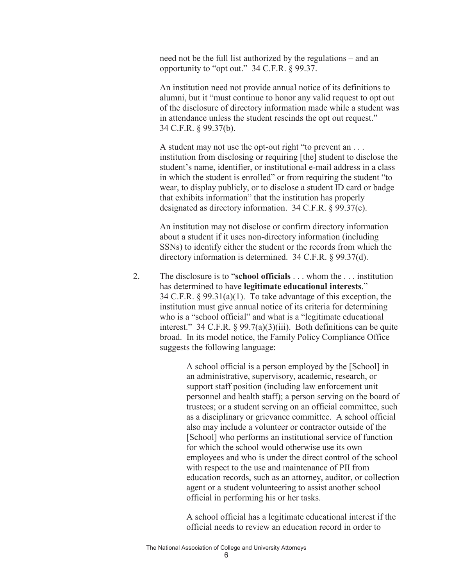need not be the full list authorized by the regulations – and an opportunity to "opt out." 34 C.F.R. § 99.37.

An institution need not provide annual notice of its definitions to alumni, but it "must continue to honor any valid request to opt out of the disclosure of directory information made while a student was in attendance unless the student rescinds the opt out request." 34 C.F.R. § 99.37(b).

A student may not use the opt-out right "to prevent an . . . institution from disclosing or requiring [the] student to disclose the student's name, identifier, or institutional e-mail address in a class in which the student is enrolled" or from requiring the student "to wear, to display publicly, or to disclose a student ID card or badge that exhibits information" that the institution has properly designated as directory information. 34 C.F.R. § 99.37(c).

An institution may not disclose or confirm directory information about a student if it uses non-directory information (including SSNs) to identify either the student or the records from which the directory information is determined. 34 C.F.R. § 99.37(d).

2. The disclosure is to "**school officials** . . . whom the . . . institution has determined to have **legitimate educational interests**." 34 C.F.R. § 99.31(a)(1). To take advantage of this exception, the institution must give annual notice of its criteria for determining who is a "school official" and what is a "legitimate educational interest." 34 C.F.R.  $\S 99.7(a)(3)(iii)$ . Both definitions can be quite broad. In its model notice, the Family Policy Compliance Office suggests the following language:

> A school official is a person employed by the [School] in an administrative, supervisory, academic, research, or support staff position (including law enforcement unit personnel and health staff); a person serving on the board of trustees; or a student serving on an official committee, such as a disciplinary or grievance committee. A school official also may include a volunteer or contractor outside of the [School] who performs an institutional service of function for which the school would otherwise use its own employees and who is under the direct control of the school with respect to the use and maintenance of PII from education records, such as an attorney, auditor, or collection agent or a student volunteering to assist another school official in performing his or her tasks.

A school official has a legitimate educational interest if the official needs to review an education record in order to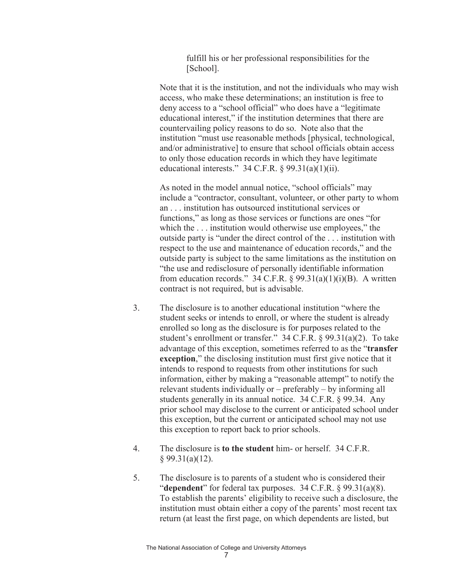fulfill his or her professional responsibilities for the [School].

Note that it is the institution, and not the individuals who may wish access, who make these determinations; an institution is free to deny access to a "school official" who does have a "legitimate educational interest," if the institution determines that there are countervailing policy reasons to do so. Note also that the institution "must use reasonable methods [physical, technological, and/or administrative] to ensure that school officials obtain access to only those education records in which they have legitimate educational interests."  $34$  C.F.R. § 99.31(a)(1)(ii).

As noted in the model annual notice, "school officials" may include a "contractor, consultant, volunteer, or other party to whom an . . . institution has outsourced institutional services or functions," as long as those services or functions are ones "for which the ... institution would otherwise use employees," the outside party is "under the direct control of the . . . institution with respect to the use and maintenance of education records," and the outside party is subject to the same limitations as the institution on "the use and redisclosure of personally identifiable information from education records." 34 C.F.R.  $\S$  99.31(a)(1)(i)(B). A written contract is not required, but is advisable.

- 3. The disclosure is to another educational institution "where the student seeks or intends to enroll, or where the student is already enrolled so long as the disclosure is for purposes related to the student's enrollment or transfer." 34 C.F.R. § 99.31(a)(2). To take advantage of this exception, sometimes referred to as the "**transfer exception**," the disclosing institution must first give notice that it intends to respond to requests from other institutions for such information, either by making a "reasonable attempt" to notify the relevant students individually or – preferably – by informing all students generally in its annual notice. 34 C.F.R. § 99.34. Any prior school may disclose to the current or anticipated school under this exception, but the current or anticipated school may not use this exception to report back to prior schools.
- 4. The disclosure is **to the student** him- or herself. 34 C.F.R.  $§$  99.31(a)(12).
- 5. The disclosure is to parents of a student who is considered their "**dependent**" for federal tax purposes. 34 C.F.R. § 99.31(a)(8). To establish the parents' eligibility to receive such a disclosure, the institution must obtain either a copy of the parents' most recent tax return (at least the first page, on which dependents are listed, but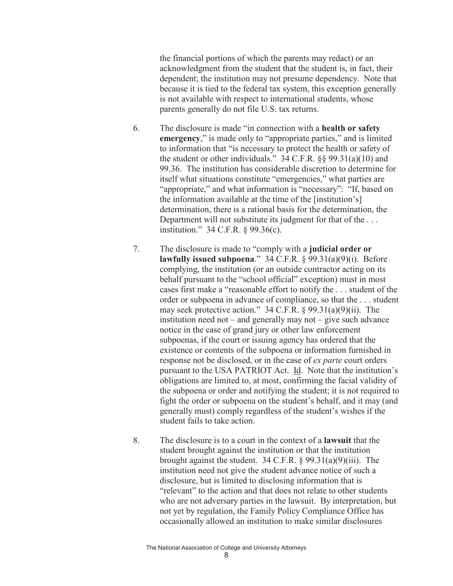the financial portions of which the parents may redact) or an acknowledgment from the student that the student is, in fact, their dependent; the institution may not presume dependency. Note that because it is tied to the federal tax system, this exception generally is not available with respect to international students, whose parents generally do not file U.S. tax returns.

- 6. The disclosure is made "in connection with a **health or safety emergency**," is made only to "appropriate parties," and is limited to information that "is necessary to protect the health or safety of the student or other individuals." 34 C.F.R. §§ 99.31(a)(10) and 99.36. The institution has considerable discretion to determine for itself what situations constitute "emergencies," what parties are "appropriate," and what information is "necessary": "If, based on the information available at the time of the [institution's] determination, there is a rational basis for the determination, the Department will not substitute its judgment for that of the . . . institution." 34 C.F.R. § 99.36(c).
- 7. The disclosure is made to "comply with a **judicial order or lawfully issued subpoena**." 34 C.F.R. § 99.31(a)(9)(i). Before complying, the institution (or an outside contractor acting on its behalf pursuant to the "school official" exception) must in most cases first make a "reasonable effort to notify the . . . student of the order or subpoena in advance of compliance, so that the . . . student may seek protective action." 34 C.F.R. § 99.31(a)(9)(ii). The institution need not – and generally may not – give such advance notice in the case of grand jury or other law enforcement subpoenas, if the court or issuing agency has ordered that the existence or contents of the subpoena or information furnished in response not be disclosed, or in the case of *ex parte* court orders pursuant to the USA PATRIOT Act. Id. Note that the institution's obligations are limited to, at most, confirming the facial validity of the subpoena or order and notifying the student; it is not required to fight the order or subpoena on the student's behalf, and it may (and generally must) comply regardless of the student's wishes if the student fails to take action.
- 8. The disclosure is to a court in the context of a **lawsuit** that the student brought against the institution or that the institution brought against the student.  $34$  C.F.R. § 99.31(a)(9)(iii). The institution need not give the student advance notice of such a disclosure, but is limited to disclosing information that is "relevant" to the action and that does not relate to other students who are not adversary parties in the lawsuit. By interpretation, but not yet by regulation, the Family Policy Compliance Office has occasionally allowed an institution to make similar disclosures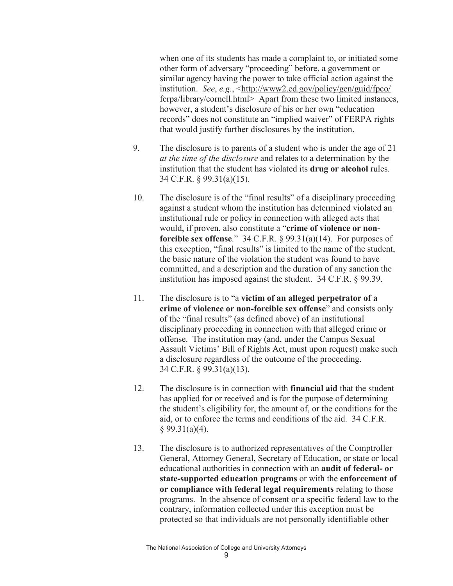when one of its students has made a complaint to, or initiated some other form of adversary "proceeding" before, a government or similar agency having the power to take official action against the institution. *See*, *e.g.*, <http://www2.ed.gov/policy/gen/guid/fpco/ ferpa/library/cornell.html> Apart from these two limited instances, however, a student's disclosure of his or her own "education records" does not constitute an "implied waiver" of FERPA rights that would justify further disclosures by the institution.

- 9. The disclosure is to parents of a student who is under the age of 21 *at the time of the disclosure* and relates to a determination by the institution that the student has violated its **drug or alcohol** rules. 34 C.F.R. § 99.31(a)(15).
- 10. The disclosure is of the "final results" of a disciplinary proceeding against a student whom the institution has determined violated an institutional rule or policy in connection with alleged acts that would, if proven, also constitute a "**crime of violence or nonforcible sex offense**." 34 C.F.R. § 99.31(a)(14). For purposes of this exception, "final results" is limited to the name of the student, the basic nature of the violation the student was found to have committed, and a description and the duration of any sanction the institution has imposed against the student. 34 C.F.R. § 99.39.
- 11. The disclosure is to "a **victim of an alleged perpetrator of a crime of violence or non-forcible sex offense**" and consists only of the "final results" (as defined above) of an institutional disciplinary proceeding in connection with that alleged crime or offense. The institution may (and, under the Campus Sexual Assault Victims' Bill of Rights Act, must upon request) make such a disclosure regardless of the outcome of the proceeding. 34 C.F.R. § 99.31(a)(13).
- 12. The disclosure is in connection with **financial aid** that the student has applied for or received and is for the purpose of determining the student's eligibility for, the amount of, or the conditions for the aid, or to enforce the terms and conditions of the aid. 34 C.F.R.  $§$  99.31(a)(4).
- 13. The disclosure is to authorized representatives of the Comptroller General, Attorney General, Secretary of Education, or state or local educational authorities in connection with an **audit of federal- or state-supported education programs** or with the **enforcement of or compliance with federal legal requirements** relating to those programs. In the absence of consent or a specific federal law to the contrary, information collected under this exception must be protected so that individuals are not personally identifiable other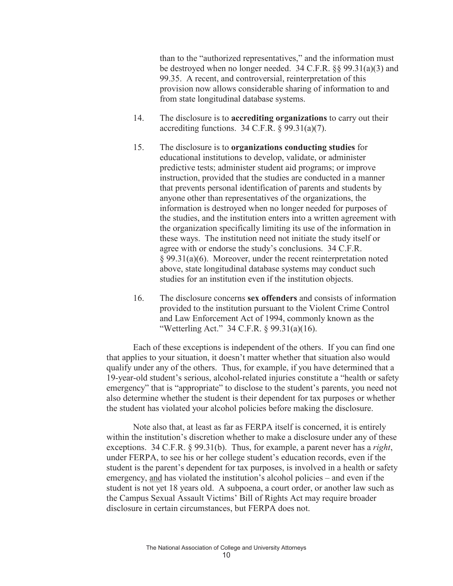than to the "authorized representatives," and the information must be destroyed when no longer needed. 34 C.F.R. §§ 99.31(a)(3) and 99.35. A recent, and controversial, reinterpretation of this provision now allows considerable sharing of information to and from state longitudinal database systems.

- 14. The disclosure is to **accrediting organizations** to carry out their accrediting functions.  $34$  C.F.R.  $\S$  99.31(a)(7).
- 15. The disclosure is to **organizations conducting studies** for educational institutions to develop, validate, or administer predictive tests; administer student aid programs; or improve instruction, provided that the studies are conducted in a manner that prevents personal identification of parents and students by anyone other than representatives of the organizations, the information is destroyed when no longer needed for purposes of the studies, and the institution enters into a written agreement with the organization specifically limiting its use of the information in these ways. The institution need not initiate the study itself or agree with or endorse the study's conclusions. 34 C.F.R. § 99.31(a)(6). Moreover, under the recent reinterpretation noted above, state longitudinal database systems may conduct such studies for an institution even if the institution objects.
- 16. The disclosure concerns **sex offenders** and consists of information provided to the institution pursuant to the Violent Crime Control and Law Enforcement Act of 1994, commonly known as the "Wetterling Act." 34 C.F.R. § 99.31(a)(16).

Each of these exceptions is independent of the others. If you can find one that applies to your situation, it doesn't matter whether that situation also would qualify under any of the others. Thus, for example, if you have determined that a 19-year-old student's serious, alcohol-related injuries constitute a "health or safety emergency" that is "appropriate" to disclose to the student's parents, you need not also determine whether the student is their dependent for tax purposes or whether the student has violated your alcohol policies before making the disclosure.

Note also that, at least as far as FERPA itself is concerned, it is entirely within the institution's discretion whether to make a disclosure under any of these exceptions. 34 C.F.R. § 99.31(b). Thus, for example, a parent never has a *right*, under FERPA, to see his or her college student's education records, even if the student is the parent's dependent for tax purposes, is involved in a health or safety emergency, and has violated the institution's alcohol policies – and even if the student is not yet 18 years old. A subpoena, a court order, or another law such as the Campus Sexual Assault Victims' Bill of Rights Act may require broader disclosure in certain circumstances, but FERPA does not.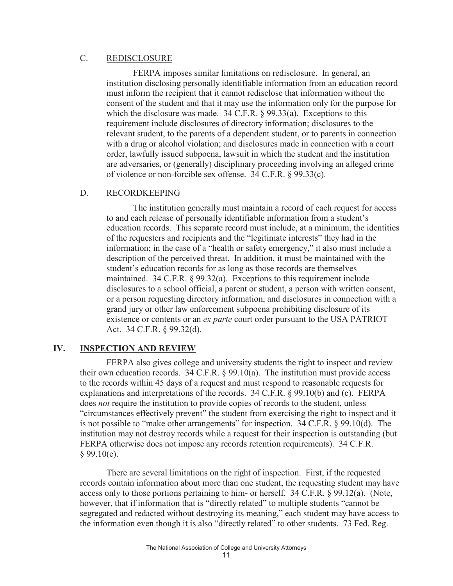## C. REDISCLOSURE

FERPA imposes similar limitations on redisclosure. In general, an institution disclosing personally identifiable information from an education record must inform the recipient that it cannot redisclose that information without the consent of the student and that it may use the information only for the purpose for which the disclosure was made. 34 C.F.R. § 99.33(a). Exceptions to this requirement include disclosures of directory information; disclosures to the relevant student, to the parents of a dependent student, or to parents in connection with a drug or alcohol violation; and disclosures made in connection with a court order, lawfully issued subpoena, lawsuit in which the student and the institution are adversaries, or (generally) disciplinary proceeding involving an alleged crime of violence or non-forcible sex offense. 34 C.F.R. § 99.33(c).

## D. RECORDKEEPING

The institution generally must maintain a record of each request for access to and each release of personally identifiable information from a student's education records. This separate record must include, at a minimum, the identities of the requesters and recipients and the "legitimate interests" they had in the information; in the case of a "health or safety emergency," it also must include a description of the perceived threat. In addition, it must be maintained with the student's education records for as long as those records are themselves maintained. 34 C.F.R. § 99.32(a). Exceptions to this requirement include disclosures to a school official, a parent or student, a person with written consent, or a person requesting directory information, and disclosures in connection with a grand jury or other law enforcement subpoena prohibiting disclosure of its existence or contents or an *ex parte* court order pursuant to the USA PATRIOT Act. 34 C.F.R. § 99.32(d).

# **IV. INSPECTION AND REVIEW**

FERPA also gives college and university students the right to inspect and review their own education records.  $34$  C.F.R. § 99.10(a). The institution must provide access to the records within 45 days of a request and must respond to reasonable requests for explanations and interpretations of the records. 34 C.F.R. § 99.10(b) and (c). FERPA does *not* require the institution to provide copies of records to the student, unless "circumstances effectively prevent" the student from exercising the right to inspect and it is not possible to "make other arrangements" for inspection. 34 C.F.R. § 99.10(d). The institution may not destroy records while a request for their inspection is outstanding (but FERPA otherwise does not impose any records retention requirements). 34 C.F.R.  $§$  99.10(e).

There are several limitations on the right of inspection. First, if the requested records contain information about more than one student, the requesting student may have access only to those portions pertaining to him- or herself. 34 C.F.R. § 99.12(a). (Note, however, that if information that is "directly related" to multiple students "cannot be segregated and redacted without destroying its meaning," each student may have access to the information even though it is also "directly related" to other students. 73 Fed. Reg.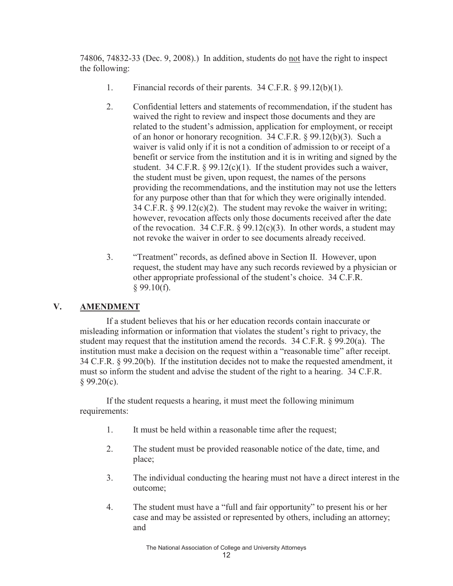74806, 74832-33 (Dec. 9, 2008).) In addition, students do not have the right to inspect the following:

- 1. Financial records of their parents. 34 C.F.R. § 99.12(b)(1).
- 2. Confidential letters and statements of recommendation, if the student has waived the right to review and inspect those documents and they are related to the student's admission, application for employment, or receipt of an honor or honorary recognition. 34 C.F.R. § 99.12(b)(3). Such a waiver is valid only if it is not a condition of admission to or receipt of a benefit or service from the institution and it is in writing and signed by the student. 34 C.F.R.  $\S$  99.12(c)(1). If the student provides such a waiver, the student must be given, upon request, the names of the persons providing the recommendations, and the institution may not use the letters for any purpose other than that for which they were originally intended. 34 C.F.R. § 99.12(c)(2). The student may revoke the waiver in writing; however, revocation affects only those documents received after the date of the revocation. 34 C.F.R.  $\S$  99.12(c)(3). In other words, a student may not revoke the waiver in order to see documents already received.
- 3. "Treatment" records, as defined above in Section II. However, upon request, the student may have any such records reviewed by a physician or other appropriate professional of the student's choice. 34 C.F.R.  $§$  99.10(f).

# **V. AMENDMENT**

If a student believes that his or her education records contain inaccurate or misleading information or information that violates the student's right to privacy, the student may request that the institution amend the records. 34 C.F.R. § 99.20(a). The institution must make a decision on the request within a "reasonable time" after receipt. 34 C.F.R. § 99.20(b). If the institution decides not to make the requested amendment, it must so inform the student and advise the student of the right to a hearing. 34 C.F.R.  $§ 99.20(c).$ 

If the student requests a hearing, it must meet the following minimum requirements:

- 1. It must be held within a reasonable time after the request;
- 2. The student must be provided reasonable notice of the date, time, and place;
- 3. The individual conducting the hearing must not have a direct interest in the outcome;
- 4. The student must have a "full and fair opportunity" to present his or her case and may be assisted or represented by others, including an attorney; and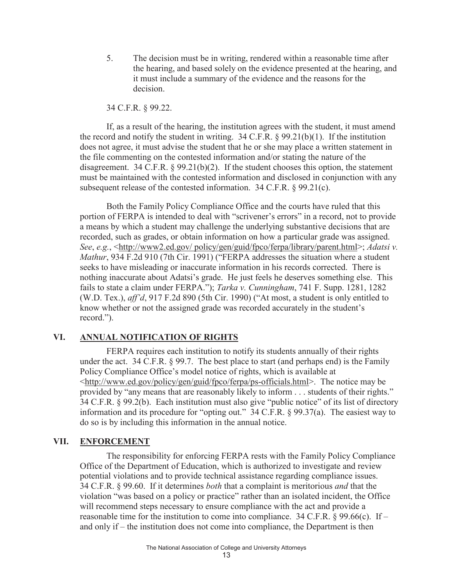5. The decision must be in writing, rendered within a reasonable time after the hearing, and based solely on the evidence presented at the hearing, and it must include a summary of the evidence and the reasons for the decision.

34 C.F.R. § 99.22.

If, as a result of the hearing, the institution agrees with the student, it must amend the record and notify the student in writing.  $34$  C.F.R. § 99.21(b)(1). If the institution does not agree, it must advise the student that he or she may place a written statement in the file commenting on the contested information and/or stating the nature of the disagreement. 34 C.F.R.  $\S$  99.21(b)(2). If the student chooses this option, the statement must be maintained with the contested information and disclosed in conjunction with any subsequent release of the contested information. 34 C.F.R. § 99.21(c).

Both the Family Policy Compliance Office and the courts have ruled that this portion of FERPA is intended to deal with "scrivener's errors" in a record, not to provide a means by which a student may challenge the underlying substantive decisions that are recorded, such as grades, or obtain information on how a particular grade was assigned. *See*, *e.g.*, <http://www2.ed.gov/ policy/gen/guid/fpco/ferpa/library/parent.html>; *Adatsi v. Mathur*, 934 F.2d 910 (7th Cir. 1991) ("FERPA addresses the situation where a student seeks to have misleading or inaccurate information in his records corrected. There is nothing inaccurate about Adatsi's grade. He just feels he deserves something else. This fails to state a claim under FERPA."); *Tarka v. Cunningham*, 741 F. Supp. 1281, 1282 (W.D. Tex.), *aff'd*, 917 F.2d 890 (5th Cir. 1990) ("At most, a student is only entitled to know whether or not the assigned grade was recorded accurately in the student's record.").

### **VI. ANNUAL NOTIFICATION OF RIGHTS**

FERPA requires each institution to notify its students annually of their rights under the act. 34 C.F.R. § 99.7. The best place to start (and perhaps end) is the Family Policy Compliance Office's model notice of rights, which is available at <http://www.ed.gov/policy/gen/guid/fpco/ferpa/ps-officials.html>. The notice may be provided by "any means that are reasonably likely to inform . . . students of their rights." 34 C.F.R. § 99.2(b). Each institution must also give "public notice" of its list of directory information and its procedure for "opting out." 34 C.F.R. § 99.37(a). The easiest way to do so is by including this information in the annual notice.

### **VII. ENFORCEMENT**

The responsibility for enforcing FERPA rests with the Family Policy Compliance Office of the Department of Education, which is authorized to investigate and review potential violations and to provide technical assistance regarding compliance issues. 34 C.F.R. § 99.60. If it determines *both* that a complaint is meritorious *and* that the violation "was based on a policy or practice" rather than an isolated incident, the Office will recommend steps necessary to ensure compliance with the act and provide a reasonable time for the institution to come into compliance. 34 C.F.R.  $\S 99.66(c)$ . If – and only if – the institution does not come into compliance, the Department is then